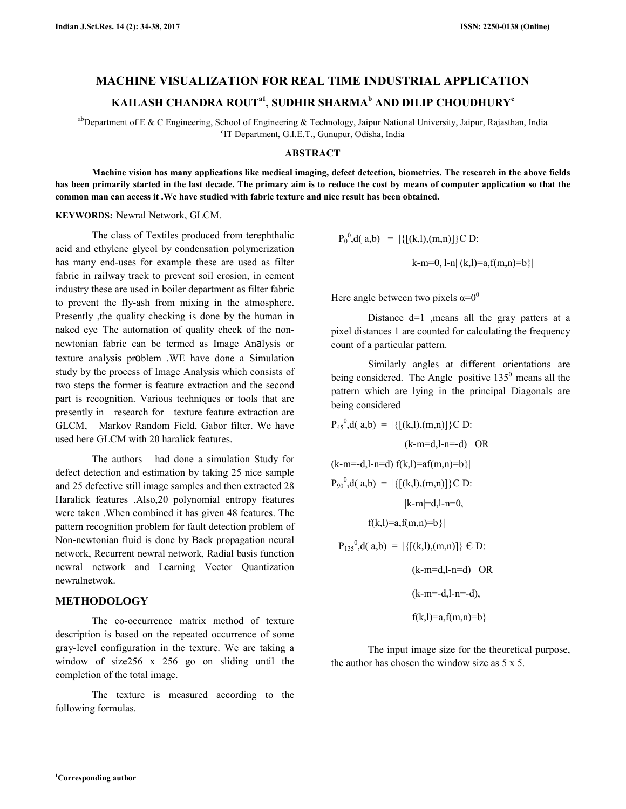# **MACHINE VISUALIZATION FOR REAL TIME INDUSTRIAL APPLICATION KAILASH CHANDRA ROUTa1, SUDHIR SHARMA<sup>b</sup> AND DILIP CHOUDHURY<sup>c</sup>**

<sup>ab</sup>Department of E & C Engineering, School of Engineering & Technology, Jaipur National University, Jaipur, Rajasthan, India c IT Department, G.I.E.T., Gunupur, Odisha, India

#### **ABSTRACT**

 **Machine vision has many applications like medical imaging, defect detection, biometrics. The research in the above fields has been primarily started in the last decade. The primary aim is to reduce the cost by means of computer application so that the common man can access it .We have studied with fabric texture and nice result has been obtained.** 

#### **KEYWORDS:** Newral Network, GLCM.

The class of Textiles produced from terephthalic acid and ethylene glycol by condensation polymerization has many end-uses for example these are used as filter fabric in railway track to prevent soil erosion, in cement industry these are used in boiler department as filter fabric to prevent the fly-ash from mixing in the atmosphere. Presently ,the quality checking is done by the human in naked eye The automation of quality check of the nonnewtonian fabric can be termed as Image Analysis or texture analysis problem .WE have done a Simulation study by the process of Image Analysis which consists of two steps the former is feature extraction and the second part is recognition. Various techniques or tools that are presently in research for texture feature extraction are GLCM, Markov Random Field, Gabor filter. We have used here GLCM with 20 haralick features.

 The authors had done a simulation Study for defect detection and estimation by taking 25 nice sample and 25 defective still image samples and then extracted 28 Haralick features .Also,20 polynomial entropy features were taken .When combined it has given 48 features. The pattern recognition problem for fault detection problem of Non-newtonian fluid is done by Back propagation neural network, Recurrent newral network, Radial basis function newral network and Learning Vector Quantization newralnetwok.

### **METHODOLOGY**

The co-occurrence matrix method of texture description is based on the repeated occurrence of some gray-level configuration in the texture. We are taking a window of size256 x 256 go on sliding until the completion of the total image.

 The texture is measured according to the following formulas.

$$
P_0^0, d(a,b) = |\{[(k,l),(m,n)]\} \in D:
$$

k-m=0,|l-n| (k,l)=a,f(m,n)=b}|

Here angle between two pixels  $\alpha=0^0$ 

 Distance d=1 ,means all the gray patters at a pixel distances 1 are counted for calculating the frequency count of a particular pattern.

 Similarly angles at different orientations are being considered. The Angle positive  $135<sup>0</sup>$  means all the pattern which are lying in the principal Diagonals are being considered

$$
P_{45}^{0}, d(a,b) = |\{[(k,l),(m,n)]\} \in D:
$$
\n(k-m=d,l-n-d) OR  
\n(k-m=d,l-n-d) f(k,l)=af(m,n)=b\}|  
\n
$$
P_{90}^{0}, d(a,b) = |\{[(k,l),(m,n)]\} \in D:
$$
\n(k-m|=d,l-n=0,  
\nf(k,l)=a, f(m,n)=b\}|  
\n
$$
P_{135}^{0}, d(a,b) = |\{[(k,l),(m,n)]\} \in D:
$$
\n(k-m=d,l-n=d) OR  
\n(k-m=-d,l-n=-d),  
\nf(k,l)=a, f(m,n)=b\}|

 The input image size for the theoretical purpose, the author has chosen the window size as  $5 \times 5$ .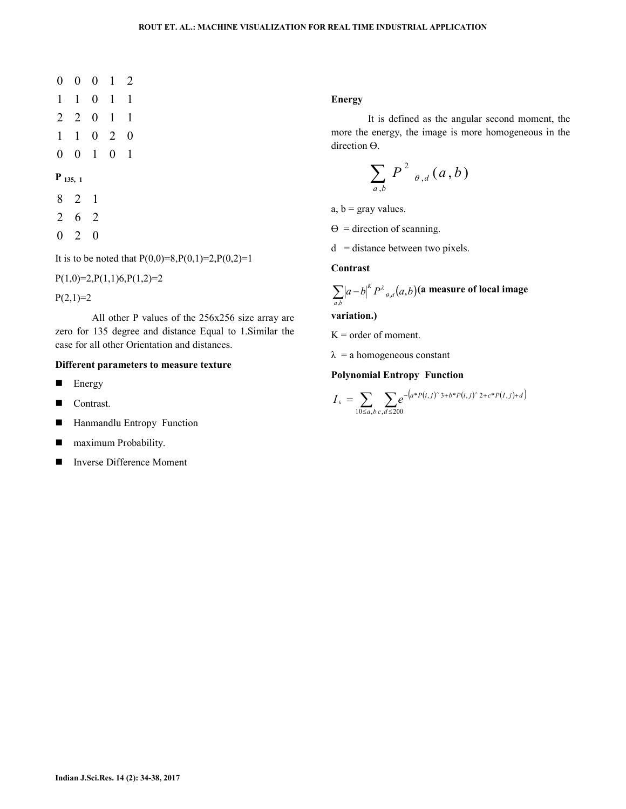- 1 1 0 2 0 2 2 0 1 1 1 1 0 1 1 0 0 0 1 2
- 0 0 1 0 1

#### **P 135, 1**

- 8 2 1
- 2 6 2
- 0 2 0

It is to be noted that  $P(0,0)=8, P(0,1)=2, P(0,2)=1$ 

 $P(1,0)=2, P(1,1)6, P(1,2)=2$ 

 $P(2,1)=2$ 

 All other P values of the 256x256 size array are zero for 135 degree and distance Equal to 1.Similar the case for all other Orientation and distances.

### **Different parameters to measure texture**

- **Energy**
- Contrast.
- Hanmandlu Entropy Function
- **Maximum Probability.**
- Inverse Difference Moment

#### **Energy**

 It is defined as the angular second moment, the more the energy, the image is more homogeneous in the direction Ө.

$$
\sum_{a,b} P^2_{\theta,d}(a,b)
$$

a,  $b =$  gray values.

 $\Theta$  = direction of scanning.

 $d =$  distance between two pixels.

## **Contrast**

$$
\sum_{a,b} \left| a-b \right|^K P^{\lambda}_{\theta,d}(a,b)
$$
 (a measure of local image

**variation.)**

 $K =$  order of moment.

 $\lambda$  = a homogeneous constant

#### **Polynomial Entropy Function**

$$
I_{k} = \sum_{10 \leq a,b} \sum_{c,d \leq 200} e^{-\left(a^{*}P(i,j)^{\wedge} 3+b^{*}P(i,j)^{\wedge} 2+c^{*}P(i,j)+d\right)}
$$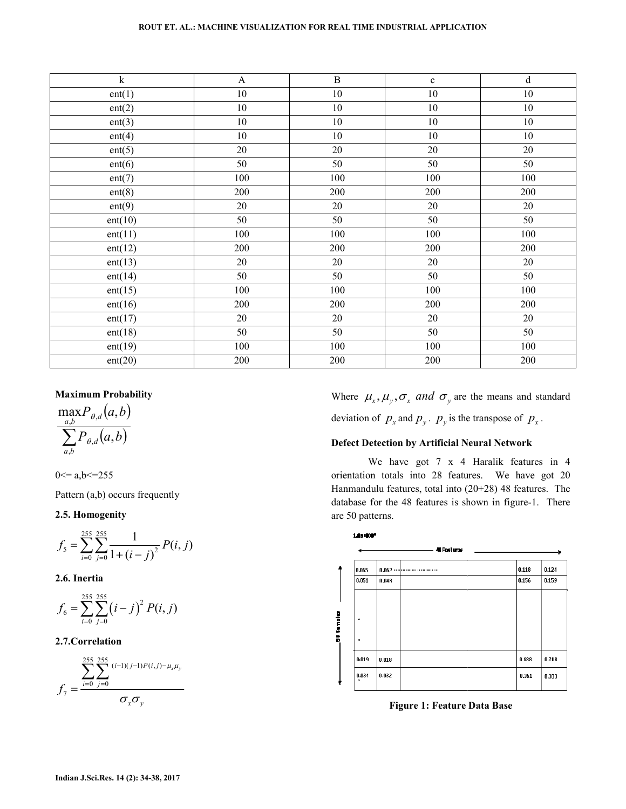| $\overline{\mathbf{k}}$ | $\mathbf{A}$    | $\overline{B}$  | $\mathbf c$     | $\overline{d}$  |
|-------------------------|-----------------|-----------------|-----------------|-----------------|
| ent(1)                  | $10\,$          | $10\,$          | 10              | $10\,$          |
| ent(2)                  | $10\,$          | $10\,$          | $10\,$          | $10\,$          |
| ent(3)                  | $10\,$          | $10\,$          | $10\,$          | $10\,$          |
| ent(4)                  | $10\,$          | $10\,$          | $10\,$          | $10\,$          |
| ent(5)                  | $\overline{20}$ | $\overline{20}$ | $\overline{20}$ | $\overline{20}$ |
| ent(6)                  | 50              | 50              | 50              | $50\,$          |
| ent(7)                  | 100             | 100             | 100             | 100             |
| ent(8)                  | 200             | 200             | 200             | 200             |
| ent(9)                  | 20              | 20              | 20              | 20              |
| ent(10)                 | 50              | 50              | 50              | 50              |
| ent(11)                 | 100             | 100             | 100             | 100             |
| ent(12)                 | 200             | 200             | 200             | 200             |
| ent(13)                 | 20              | 20              | 20              | 20              |
| ent(14)                 | 50              | 50              | 50              | 50              |
| ent(15)                 | 100             | 100             | 100             | 100             |
| ent(16)                 | 200             | 200             | 200             | 200             |
| ent(17)                 | 20              | 20              | 20              | 20              |
| ent(18)                 | $\overline{50}$ | $\overline{50}$ | $\overline{50}$ | $\overline{50}$ |
| ent(19)                 | 100             | 100             | 100             | 100             |
| ent(20)                 | 200             | 200             | 200             | 200             |

#### **Maximum Probability**

$$
\frac{\max_{a,b} P_{\theta,d}(a,b)}{\sum_{a,b} P_{\theta,d}(a,b)}
$$

$$
0 \le a, b \le 255
$$

Pattern (a,b) occurs frequently

#### **2.5. Homogenity**

$$
f_{5} = \sum_{i=0}^{255} \sum_{j=0}^{255} \frac{1}{1 + (i - j)^{2}} P(i, j)
$$

**2.6. Inertia** 

$$
f_6 = \sum_{i=0}^{255} \sum_{j=0}^{255} (i-j)^2 P(i, j)
$$

## **2.7.Correlation**

$$
f_7 = \frac{\sum_{i=0}^{255} \sum_{j=0}^{255} (i-1)(j-1)P(i,j) - \mu_x \mu_y}{\sigma_x \sigma_y}
$$

Where  $\mu_x, \mu_y, \sigma_x$  and  $\sigma_y$  are the means and standard deviation of  $p_x$  and  $p_y$ .  $p_y$  is the transpose of  $p_x$ .

## **Defect Detection by Artificial Neural Network Network**

We have got 7 x 4 Haralik features in 4 We have got 7 x 4 Haralik features in 4 orientation totals into 28 features. We have got 20 Hanmandulu features, total into (20+28) 48 features. The database for the 48 features is shown in figure-1. There are 50 patterns.



**Figure 1: Feature Data Base Data**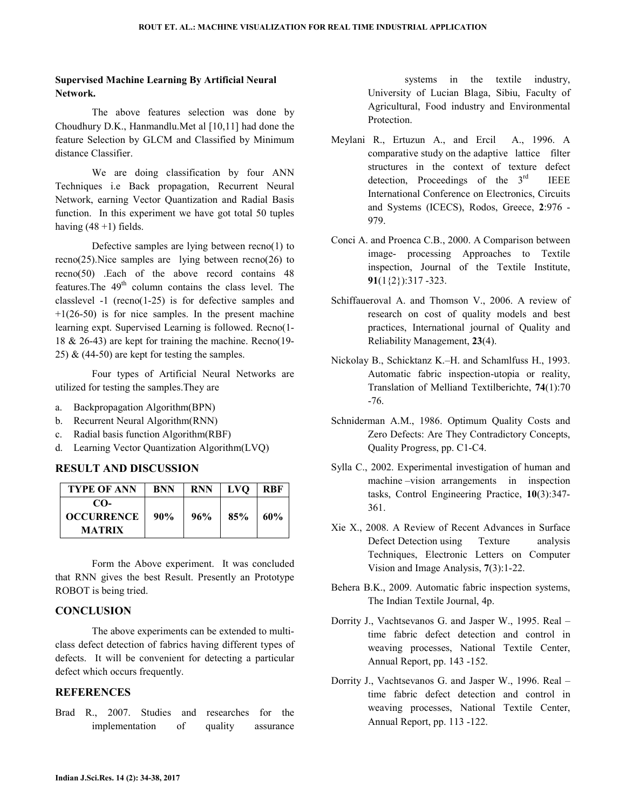## **Supervised Machine Learning By Artificial Neural Network.**

 The above features selection was done by Choudhury D.K., Hanmandlu.Met al [10,11] had done the feature Selection by GLCM and Classified by Minimum distance Classifier.

 We are doing classification by four ANN Techniques i.e Back propagation, Recurrent Neural Network, earning Vector Quantization and Radial Basis function. In this experiment we have got total 50 tuples having  $(48 + 1)$  fields.

 Defective samples are lying between recno(1) to recno(25).Nice samples are lying between recno(26) to recno(50) .Each of the above record contains 48 features. The 49<sup>th</sup> column contains the class level. The classlevel -1 (recno(1-25) is for defective samples and  $+1(26-50)$  is for nice samples. In the present machine learning expt. Supervised Learning is followed. Recno(1- 18 & 26-43) are kept for training the machine. Recno(19- 25)  $&$  (44-50) are kept for testing the samples.

 Four types of Artificial Neural Networks are utilized for testing the samples.They are

- a. Backpropagation Algorithm(BPN)
- b. Recurrent Neural Algorithm(RNN)
- c. Radial basis function Algorithm(RBF)
- d. Learning Vector Quantization Algorithm(LVQ)

## **RESULT AND DISCUSSION**

| <b>TYPE OF ANN</b> | <b>BNN</b> | <b>RNN</b> | <b>LVO</b> | <b>RBF</b> |
|--------------------|------------|------------|------------|------------|
| $CO-$              |            |            |            |            |
| <b>OCCURRENCE</b>  | 90%        | 96%        | 85%        | 60%        |
| <b>MATRIX</b>      |            |            |            |            |

 Form the Above experiment. It was concluded that RNN gives the best Result. Presently an Prototype ROBOT is being tried.

## **CONCLUSION**

The above experiments can be extended to multiclass defect detection of fabrics having different types of defects. It will be convenient for detecting a particular defect which occurs frequently.

## **REFERENCES**

Brad R., 2007. Studies and researches for the implementation of quality assurance

 systems in the textile industry, University of Lucian Blaga, Sibiu, Faculty of Agricultural, Food industry and Environmental Protection.

- Meylani R., Ertuzun A., and Ercil A., 1996. A comparative study on the adaptive lattice filter structures in the context of texture defect detection, Proceedings of the  $3<sup>rd</sup>$  IEEE International Conference on Electronics, Circuits and Systems (ICECS), Rodos, Greece, **2**:976 - 979.
- Conci A. and Proenca C.B., 2000. A Comparison between image- processing Approaches to Textile inspection, Journal of the Textile Institute, **91**(1{2}):317 -323.
- Schiffaueroval A. and Thomson V., 2006. A review of research on cost of quality models and best practices, International journal of Quality and Reliability Management, **23**(4).
- Nickolay B., Schicktanz K.–H. and Schamlfuss H., 1993. Automatic fabric inspection-utopia or reality, Translation of Melliand Textilberichte, **74**(1):70 -76.
- Schniderman A.M., 1986. Optimum Quality Costs and Zero Defects: Are They Contradictory Concepts, Quality Progress, pp. C1-C4.
- Sylla C., 2002. Experimental investigation of human and machine –vision arrangements in inspection tasks, Control Engineering Practice, **10**(3):347- 361.
- Xie X., 2008. A Review of Recent Advances in Surface Defect Detection using Texture analysis Techniques, Electronic Letters on Computer Vision and Image Analysis, **7**(3):1-22.
- Behera B.K., 2009. Automatic fabric inspection systems, The Indian Textile Journal, 4p.
- Dorrity J., Vachtsevanos G. and Jasper W., 1995. Real time fabric defect detection and control in weaving processes, National Textile Center, Annual Report, pp. 143 -152.
- Dorrity J., Vachtsevanos G. and Jasper W., 1996. Real time fabric defect detection and control in weaving processes, National Textile Center, Annual Report, pp. 113 -122.